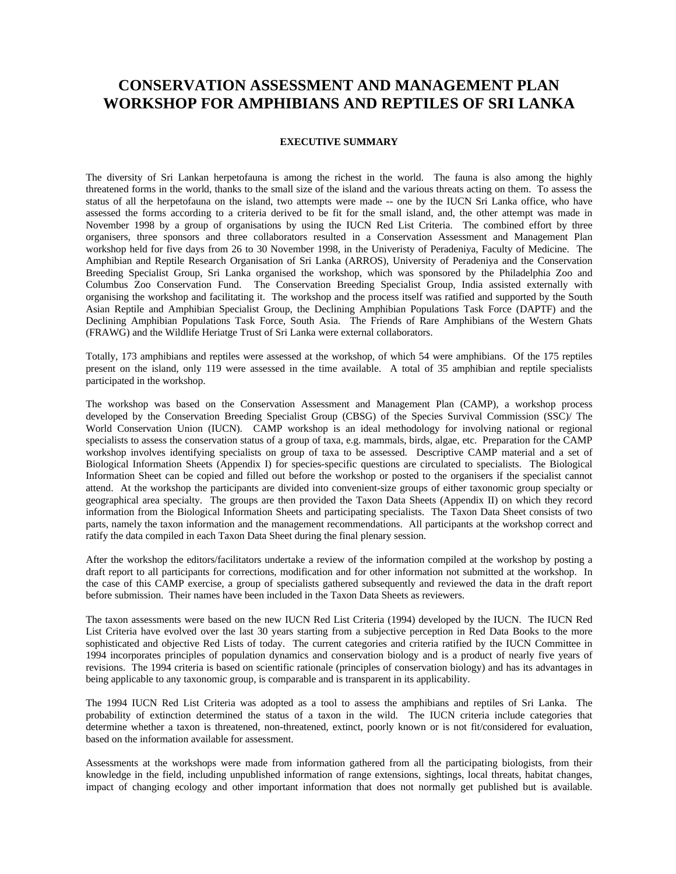## **CONSERVATION ASSESSMENT AND MANAGEMENT PLAN WORKSHOP FOR AMPHIBIANS AND REPTILES OF SRI LANKA**

## **EXECUTIVE SUMMARY**

The diversity of Sri Lankan herpetofauna is among the richest in the world. The fauna is also among the highly threatened forms in the world, thanks to the small size of the island and the various threats acting on them. To assess the status of all the herpetofauna on the island, two attempts were made -- one by the IUCN Sri Lanka office, who have assessed the forms according to a criteria derived to be fit for the small island, and, the other attempt was made in November 1998 by a group of organisations by using the IUCN Red List Criteria. The combined effort by three organisers, three sponsors and three collaborators resulted in a Conservation Assessment and Management Plan workshop held for five days from 26 to 30 November 1998, in the Univeristy of Peradeniya, Faculty of Medicine. The Amphibian and Reptile Research Organisation of Sri Lanka (ARROS), University of Peradeniya and the Conservation Breeding Specialist Group, Sri Lanka organised the workshop, which was sponsored by the Philadelphia Zoo and Columbus Zoo Conservation Fund. The Conservation Breeding Specialist Group, India assisted externally with organising the workshop and facilitating it. The workshop and the process itself was ratified and supported by the South Asian Reptile and Amphibian Specialist Group, the Declining Amphibian Populations Task Force (DAPTF) and the Declining Amphibian Populations Task Force, South Asia. The Friends of Rare Amphibians of the Western Ghats (FRAWG) and the Wildlife Heriatge Trust of Sri Lanka were external collaborators.

Totally, 173 amphibians and reptiles were assessed at the workshop, of which 54 were amphibians. Of the 175 reptiles present on the island, only 119 were assessed in the time available. A total of 35 amphibian and reptile specialists participated in the workshop.

The workshop was based on the Conservation Assessment and Management Plan (CAMP), a workshop process developed by the Conservation Breeding Specialist Group (CBSG) of the Species Survival Commission (SSC)/ The World Conservation Union (IUCN). CAMP workshop is an ideal methodology for involving national or regional specialists to assess the conservation status of a group of taxa, e.g. mammals, birds, algae, etc. Preparation for the CAMP workshop involves identifying specialists on group of taxa to be assessed. Descriptive CAMP material and a set of Biological Information Sheets (Appendix I) for species-specific questions are circulated to specialists. The Biological Information Sheet can be copied and filled out before the workshop or posted to the organisers if the specialist cannot attend. At the workshop the participants are divided into convenient-size groups of either taxonomic group specialty or geographical area specialty. The groups are then provided the Taxon Data Sheets (Appendix II) on which they record information from the Biological Information Sheets and participating specialists. The Taxon Data Sheet consists of two parts, namely the taxon information and the management recommendations. All participants at the workshop correct and ratify the data compiled in each Taxon Data Sheet during the final plenary session.

After the workshop the editors/facilitators undertake a review of the information compiled at the workshop by posting a draft report to all participants for corrections, modification and for other information not submitted at the workshop. In the case of this CAMP exercise, a group of specialists gathered subsequently and reviewed the data in the draft report before submission. Their names have been included in the Taxon Data Sheets as reviewers.

The taxon assessments were based on the new IUCN Red List Criteria (1994) developed by the IUCN. The IUCN Red List Criteria have evolved over the last 30 years starting from a subjective perception in Red Data Books to the more sophisticated and objective Red Lists of today. The current categories and criteria ratified by the IUCN Committee in 1994 incorporates principles of population dynamics and conservation biology and is a product of nearly five years of revisions. The 1994 criteria is based on scientific rationale (principles of conservation biology) and has its advantages in being applicable to any taxonomic group, is comparable and is transparent in its applicability.

The 1994 IUCN Red List Criteria was adopted as a tool to assess the amphibians and reptiles of Sri Lanka. The probability of extinction determined the status of a taxon in the wild. The IUCN criteria include categories that determine whether a taxon is threatened, non-threatened, extinct, poorly known or is not fit/considered for evaluation, based on the information available for assessment.

Assessments at the workshops were made from information gathered from all the participating biologists, from their knowledge in the field, including unpublished information of range extensions, sightings, local threats, habitat changes, impact of changing ecology and other important information that does not normally get published but is available.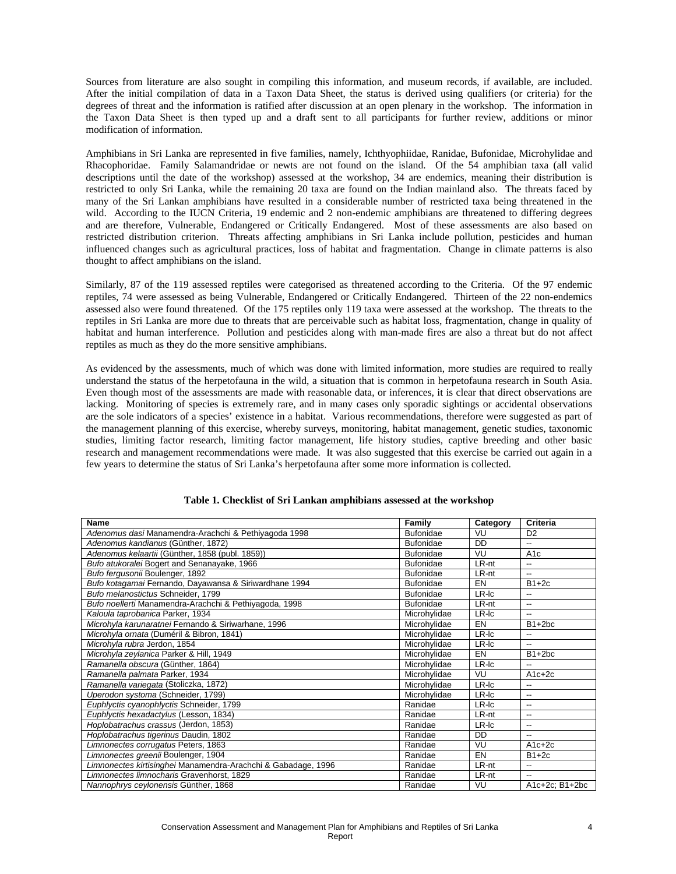Sources from literature are also sought in compiling this information, and museum records, if available, are included. After the initial compilation of data in a Taxon Data Sheet, the status is derived using qualifiers (or criteria) for the degrees of threat and the information is ratified after discussion at an open plenary in the workshop. The information in the Taxon Data Sheet is then typed up and a draft sent to all participants for further review, additions or minor modification of information.

Amphibians in Sri Lanka are represented in five families, namely, Ichthyophiidae, Ranidae, Bufonidae, Microhylidae and Rhacophoridae. Family Salamandridae or newts are not found on the island. Of the 54 amphibian taxa (all valid descriptions until the date of the workshop) assessed at the workshop, 34 are endemics, meaning their distribution is restricted to only Sri Lanka, while the remaining 20 taxa are found on the Indian mainland also. The threats faced by many of the Sri Lankan amphibians have resulted in a considerable number of restricted taxa being threatened in the wild. According to the IUCN Criteria, 19 endemic and 2 non-endemic amphibians are threatened to differing degrees and are therefore, Vulnerable, Endangered or Critically Endangered. Most of these assessments are also based on restricted distribution criterion. Threats affecting amphibians in Sri Lanka include pollution, pesticides and human influenced changes such as agricultural practices, loss of habitat and fragmentation. Change in climate patterns is also thought to affect amphibians on the island.

Similarly, 87 of the 119 assessed reptiles were categorised as threatened according to the Criteria. Of the 97 endemic reptiles, 74 were assessed as being Vulnerable, Endangered or Critically Endangered. Thirteen of the 22 non-endemics assessed also were found threatened. Of the 175 reptiles only 119 taxa were assessed at the workshop. The threats to the reptiles in Sri Lanka are more due to threats that are perceivable such as habitat loss, fragmentation, change in quality of habitat and human interference. Pollution and pesticides along with man-made fires are also a threat but do not affect reptiles as much as they do the more sensitive amphibians.

As evidenced by the assessments, much of which was done with limited information, more studies are required to really understand the status of the herpetofauna in the wild, a situation that is common in herpetofauna research in South Asia. Even though most of the assessments are made with reasonable data, or inferences, it is clear that direct observations are lacking. Monitoring of species is extremely rare, and in many cases only sporadic sightings or accidental observations are the sole indicators of a species' existence in a habitat. Various recommendations, therefore were suggested as part of the management planning of this exercise, whereby surveys, monitoring, habitat management, genetic studies, taxonomic studies, limiting factor research, limiting factor management, life history studies, captive breeding and other basic research and management recommendations were made. It was also suggested that this exercise be carried out again in a few years to determine the status of Sri Lanka's herpetofauna after some more information is collected.

| Name                                                          | Family           | Category | Criteria                 |
|---------------------------------------------------------------|------------------|----------|--------------------------|
| Adenomus dasi Manamendra-Arachchi & Pethiyagoda 1998          | <b>Bufonidae</b> | VU       | D <sub>2</sub>           |
| Adenomus kandianus (Günther, 1872)                            | <b>Bufonidae</b> | DD       | $\overline{\phantom{a}}$ |
| Adenomus kelaartii (Günther, 1858 (publ. 1859))               | <b>Bufonidae</b> | VU       | A <sub>1</sub> c         |
| Bufo atukoralei Bogert and Senanayake, 1966                   | <b>Bufonidae</b> | LR-nt    | --                       |
| Bufo fergusonii Boulenger, 1892                               | <b>Bufonidae</b> | LR-nt    | --                       |
| Bufo kotagamai Fernando, Dayawansa & Siriwardhane 1994        | <b>Bufonidae</b> | EN       | $B1+2c$                  |
| Bufo melanostictus Schneider, 1799                            | <b>Bufonidae</b> | LR-Ic    | $\overline{\phantom{a}}$ |
| Bufo noellerti Manamendra-Arachchi & Pethiyagoda, 1998        | <b>Bufonidae</b> | LR-nt    | $\overline{\phantom{a}}$ |
| Kaloula taprobanica Parker, 1934                              | Microhylidae     | LR-Ic    | $\overline{\phantom{a}}$ |
| Microhyla karunaratnei Fernando & Siriwarhane, 1996           | Microhylidae     | EN       | $B1+2bc$                 |
| Microhyla ornata (Duméril & Bibron, 1841)                     | Microhylidae     | LR-Ic    | $\overline{\phantom{a}}$ |
| Microhyla rubra Jerdon, 1854                                  | Microhvlidae     | LR-Ic    | $\overline{\phantom{a}}$ |
| Microhyla zeylanica Parker & Hill, 1949                       | Microhylidae     | EN       | $B1+2bc$                 |
| Ramanella obscura (Günther, 1864)                             | Microhvlidae     | LR-Ic    | $-$                      |
| Ramanella palmata Parker, 1934                                | Microhylidae     | VU       | $A1c+2c$                 |
| Ramanella variegata (Stoliczka, 1872)                         | Microhylidae     | LR-Ic    | --                       |
| Uperodon systoma (Schneider, 1799)                            | Microhylidae     | LR-Ic    | $\overline{\phantom{a}}$ |
| Euphlyctis cyanophlyctis Schneider, 1799                      | Ranidae          | LR-Ic    | --                       |
| Euphlyctis hexadactylus (Lesson, 1834)                        | Ranidae          | LR-nt    | $\overline{\phantom{a}}$ |
| Hoplobatrachus crassus (Jerdon, 1853)                         | Ranidae          | LR-Ic    | $\overline{\phantom{a}}$ |
| Hoplobatrachus tigerinus Daudin, 1802                         | Ranidae          | DD       | --                       |
| Limnonectes corrugatus Peters, 1863                           | Ranidae          | VU       | $A1c+2c$                 |
| Limnonectes greenii Boulenger, 1904                           | Ranidae          | EN       | $B1+2c$                  |
| Limnonectes kirtisinghei Manamendra-Arachchi & Gabadage, 1996 | Ranidae          | LR-nt    | $\overline{\phantom{a}}$ |
| Limnonectes limnocharis Gravenhorst, 1829                     | Ranidae          | LR-nt    | $\overline{\phantom{a}}$ |
| Nannophrys ceylonensis Günther, 1868                          | Ranidae          | VU       | $A1c+2c$ ; B1+2bc        |

## **Table 1. Checklist of Sri Lankan amphibians assessed at the workshop**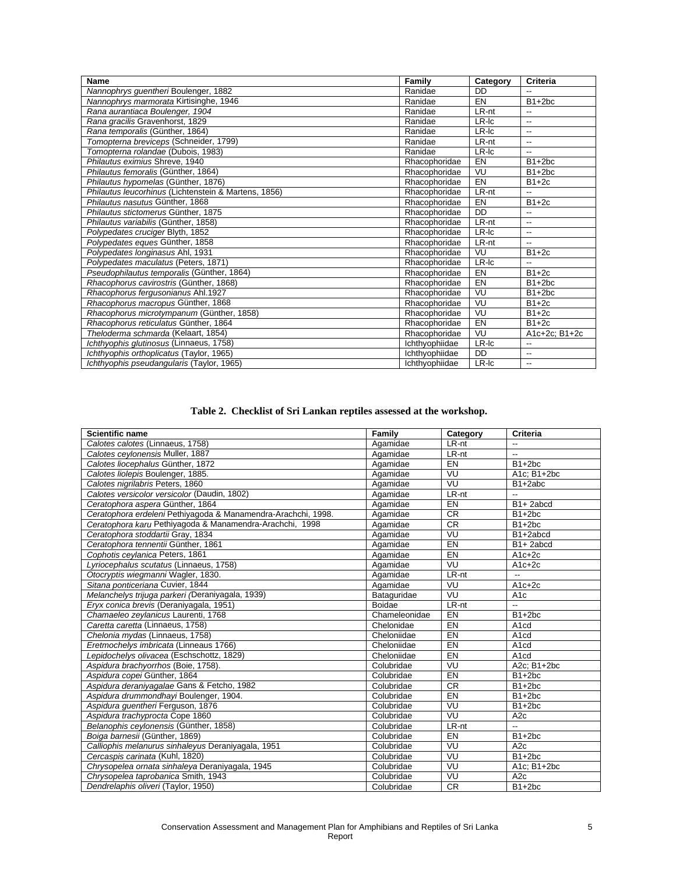| <b>Name</b>                                          | Family         | Category | Criteria                 |
|------------------------------------------------------|----------------|----------|--------------------------|
| Nannophrys guentheri Boulenger, 1882                 | Ranidae        | DD.      | $-$                      |
| Nannophrys marmorata Kirtisinghe, 1946               | Ranidae        | EN       | $B1+2bc$                 |
| Rana aurantiaca Boulenger, 1904                      | Ranidae        | LR-nt    | --                       |
| Rana gracilis Gravenhorst, 1829                      | Ranidae        | LR-Ic    | --                       |
| Rana temporalis (Günther, 1864)                      | Ranidae        | LR-Ic    | --                       |
| Tomopterna breviceps (Schneider, 1799)               | Ranidae        | LR-nt    | --                       |
| Tomopterna rolandae (Dubois, 1983)                   | Ranidae        | LR-Ic    | $-$                      |
| Philautus eximius Shreve, 1940                       | Rhacophoridae  | EN       | $B1+2bc$                 |
| Philautus femoralis (Günther, 1864)                  | Rhacophoridae  | VU       | $B1+2bc$                 |
| Philautus hypomelas (Günther, 1876)                  | Rhacophoridae  | EN       | $B1+2c$                  |
| Philautus leucorhinus (Lichtenstein & Martens, 1856) | Rhacophoridae  | LR-nt    | $\overline{\phantom{a}}$ |
| Philautus nasutus Günther, 1868                      | Rhacophoridae  | EN       | $B1+2c$                  |
| Philautus stictomerus Günther, 1875                  | Rhacophoridae  | DD       | $\overline{\phantom{a}}$ |
| Philautus variabilis (Günther, 1858)                 | Rhacophoridae  | LR-nt    | --                       |
| Polypedates cruciger Blyth, 1852                     | Rhacophoridae  | LR-Ic    | --                       |
| Polypedates eques Günther, 1858                      | Rhacophoridae  | LR-nt    | $\overline{\phantom{a}}$ |
| Polypedates longinasus Ahl, 1931                     | Rhacophoridae  | VU       | $B1+2c$                  |
| Polypedates maculatus (Peters, 1871)                 | Rhacophoridae  | LR-Ic    | $\overline{\phantom{a}}$ |
| Pseudophilautus temporalis (Günther, 1864)           | Rhacophoridae  | EN       | $B1+2c$                  |
| Rhacophorus cavirostris (Günther, 1868)              | Rhacophoridae  | EN       | $B1+2bc$                 |
| Rhacophorus fergusonianus Ahl.1927                   | Rhacophoridae  | VU       | $B1+2bc$                 |
| Rhacophorus macropus Günther, 1868                   | Rhacophoridae  | VU       | $B1+2c$                  |
| Rhacophorus microtympanum (Günther, 1858)            | Rhacophoridae  | VU       | $B1+2c$                  |
| Rhacophorus reticulatus Günther, 1864                | Rhacophoridae  | EN       | $B1+2c$                  |
| Theloderma schmarda (Kelaart, 1854)                  | Rhacophoridae  | VU       | A1c+2c; B1+2c            |
| Ichthyophis glutinosus (Linnaeus, 1758)              | Ichthyophiidae | LR-Ic    | --                       |
| Ichthyophis orthoplicatus (Taylor, 1965)             | Ichthyophiidae | DD       | --                       |
| Ichthyophis pseudangularis (Taylor, 1965)            | Ichthyophiidae | LR-Ic    | --                       |

**Table 2. Checklist of Sri Lankan reptiles assessed at the workshop.**

| <b>Scientific name</b>                                        | <b>Family</b> | Category  | Criteria              |
|---------------------------------------------------------------|---------------|-----------|-----------------------|
| Calotes calotes (Linnaeus, 1758)                              | Agamidae      | LR-nt     | --                    |
| Calotes ceylonensis Muller, 1887                              | Agamidae      | LR-nt     | Ξ.                    |
| Calotes liocephalus Günther, 1872                             | Agamidae      | EN        | $B1+2bc$              |
| Calotes liolepis Boulenger, 1885.                             | Agamidae      | VU        | A1c; B1+2bc           |
| Calotes nigrilabris Peters, 1860                              | Agamidae      | VU        | B1+2abc               |
| Calotes versicolor versicolor (Daudin, 1802)                  | Agamidae      | LR-nt     | --                    |
| Ceratophora aspera Günther, 1864                              | Agamidae      | EN        | B <sub>1</sub> +2abcd |
| Ceratophora erdeleni Pethiyagoda & Manamendra-Arachchi, 1998. | Agamidae      | <b>CR</b> | $B1+2bc$              |
| Ceratophora karu Pethiyagoda & Manamendra-Arachchi, 1998      | Agamidae      | <b>CR</b> | $B1+2bc$              |
| Ceratophora stoddartii Gray, 1834                             | Agamidae      | VU        | B1+2abcd              |
| Ceratophora tennentii Günther, 1861                           | Agamidae      | EN        | B <sub>1</sub> +2abcd |
| Cophotis ceylanica Peters, 1861                               | Agamidae      | EN        | $A1c+2c$              |
| Lyriocephalus scutatus (Linnaeus, 1758)                       | Agamidae      | VU        | $A1c+2c$              |
| Otocryptis wiegmanni Wagler, 1830.                            | Agamidae      | LR-nt     | -−                    |
| Sitana ponticeriana Cuvier, 1844                              | Agamidae      | VU        | $A1c+2c$              |
| Melanchelys trijuga parkeri (Deraniyagala, 1939)              | Bataguridae   | VU        | A <sub>1</sub> c      |
| Eryx conica brevis (Deraniyagala, 1951)                       | <b>Boidae</b> | LR-nt     |                       |
| Chamaeleo zeylanicus Laurenti, 1768                           | Chameleonidae | EN        | $B1+2bc$              |
| Caretta caretta (Linnaeus, 1758)                              | Chelonidae    | EN        | A <sub>1</sub> cd     |
| Chelonia mydas (Linnaeus, 1758)                               | Cheloniidae   | EN        | A <sub>1</sub> cd     |
| Eretmochelys imbricata (Linneaus 1766)                        | Cheloniidae   | EN        | A <sub>1</sub> cd     |
| Lepidochelys olivacea (Eschschottz, 1829)                     | Cheloniidae   | EN        | A <sub>1</sub> cd     |
| Aspidura brachyorrhos (Boie, 1758).                           | Colubridae    | VU        | A2c; B1+2bc           |
| Aspidura copei Günther, 1864                                  | Colubridae    | EN        | $B1+2bc$              |
| Aspidura deraniyagalae Gans & Fetcho, 1982                    | Colubridae    | <b>CR</b> | $B1+2bc$              |
| Aspidura drummondhayi Boulenger, 1904.                        | Colubridae    | EN        | $B1+2bc$              |
| Aspidura guentheri Ferguson, 1876                             | Colubridae    | VU        | $B1+2bc$              |
| Aspidura trachyprocta Cope 1860                               | Colubridae    | VU        | A2c                   |
| Belanophis ceylonensis (Günther, 1858)                        | Colubridae    | LR-nt     | --                    |
| Boiga barnesii (Günther, 1869)                                | Colubridae    | EN        | $\overline{B}$ 1+2bc  |
| Calliophis melanurus sinhaleyus Deraniyagala, 1951            | Colubridae    | VU        | A <sub>2c</sub>       |
| Cercaspis carinata (Kuhl, 1820)                               | Colubridae    | VU        | $B1+2bc$              |
| Chrysopelea ornata sinhaleya Deraniyagala, 1945               | Colubridae    | VU        | A1c; B1+2bc           |
| Chrysopelea taprobanica Smith, 1943                           | Colubridae    | VU        | A <sub>2c</sub>       |
| Dendrelaphis oliveri (Taylor, 1950)                           | Colubridae    | CR        | $B1+2bc$              |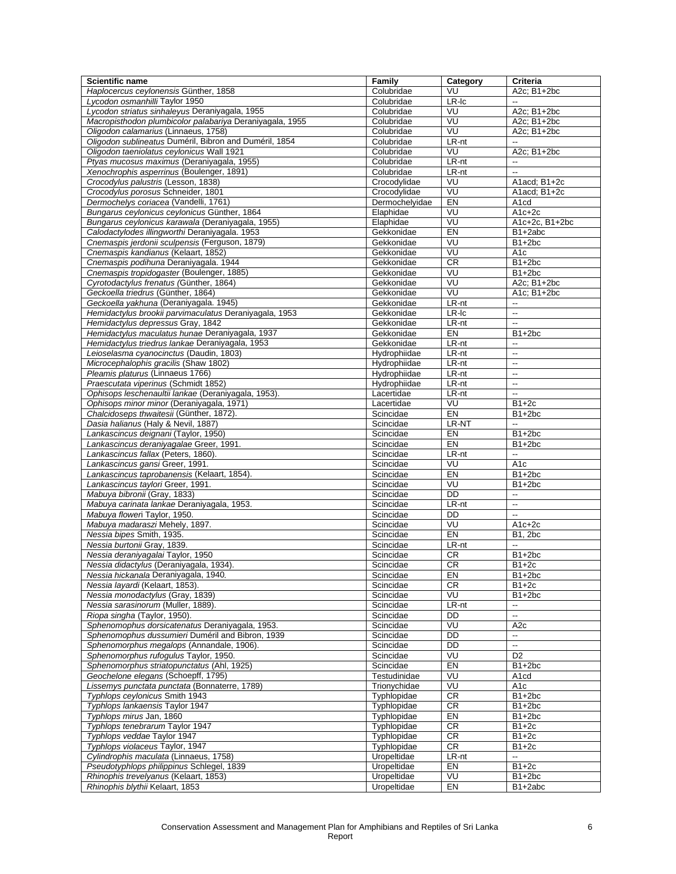| Scientific name                                                                                | Family                     | Category             | <b>Criteria</b>                         |
|------------------------------------------------------------------------------------------------|----------------------------|----------------------|-----------------------------------------|
| Haplocercus ceylonensis Günther, 1858                                                          | Colubridae                 | VU                   | A2c; B1+2bc                             |
| Lycodon osmanhilli Taylor 1950                                                                 | Colubridae                 | $LR$ -Ic             |                                         |
| Lycodon striatus sinhaleyus Deraniyagala, 1955                                                 | Colubridae                 | VU                   | A2c; B1+2bc                             |
| Macropisthodon plumbicolor palabariya Deraniyagala, 1955                                       | Colubridae                 | VU                   | $\overline{A2c}$ ; B1+2bc               |
| Oligodon calamarius (Linnaeus, 1758)<br>Oligodon sublineatus Duméril, Bibron and Duméril, 1854 | Colubridae<br>Colubridae   | VU<br>LR-nt          | A2c: B1+2bc<br>$\overline{\phantom{a}}$ |
| Oligodon taeniolatus ceylonicus Wall 1921                                                      | Colubridae                 | VU                   | A2c; B1+2bc                             |
| Ptyas mucosus maximus (Deraniyagala, 1955)                                                     | Colubridae                 | LR-nt                | $\overline{\phantom{a}}$                |
| Xenochrophis asperrinus (Boulenger, 1891)                                                      | Colubridae                 | LR-nt                | $\ddot{\phantom{a}}$                    |
| Crocodylus palustris (Lesson, 1838)                                                            | Crocodylidae               | VU                   | A1acd; B1+2c                            |
| Crocodylus porosus Schneider, 1801                                                             | Crocodylidae               | VU                   | A1acd: B1+2c                            |
| Dermochelys coriacea (Vandelli, 1761)                                                          | Dermochelyidae             | EN                   | A <sub>1</sub> cd                       |
| Bungarus ceylonicus ceylonicus Günther, 1864                                                   | Elaphidae                  | VU                   | $A1c+2c$                                |
| Bungarus ceylonicus karawala (Deraniyagala, 1955)                                              | Elaphidae                  | VU                   | A1c+2c, B1+2bc                          |
| Calodactylodes illingworthi Deraniyagala. 1953                                                 | Gekkonidae                 | EN                   | B1+2abc                                 |
| Cnemaspis jerdonii sculpensis (Ferguson, 1879)                                                 | Gekkonidae                 | VU                   | $B1+2bc$                                |
| Cnemaspis kandianus (Kelaart, 1852)                                                            | Gekkonidae                 | VU                   | A <sub>1</sub> c                        |
| Cnemaspis podihuna Deraniyagala. 1944                                                          | Gekkonidae                 | CR<br>VU             | $B1+2bc$                                |
| Cnemaspis tropidogaster (Boulenger, 1885)<br>Cyrotodactylus frenatus (Günther, 1864)           | Gekkonidae<br>Gekkonidae   | VU                   | $B1+2bc$<br>A2c; B1+2bc                 |
| Geckoella triedrus (Günther, 1864)                                                             | Gekkonidae                 | VU                   | A1c; B1+2bc                             |
| Geckoella yakhuna (Deraniyagala. 1945)                                                         | Gekkonidae                 | LR-nt                | $\overline{\phantom{a}}$                |
| Hemidactylus brookii parvimaculatus Deraniyagala, 1953                                         | Gekkonidae                 | LR-Ic                | u.                                      |
| Hemidactylus depressus Gray, 1842                                                              | Gekkonidae                 | LR-nt                | $\mathbb{Z}^2$                          |
| Hemidactylus maculatus hunae Deraniyagala, 1937                                                | Gekkonidae                 | EN                   | $B1+2bc$                                |
| Hemidactylus triedrus lankae Deraniyagala, 1953                                                | Gekkonidae                 | LR-nt                | $\overline{\phantom{a}}$                |
| Leioselasma cyanocinctus (Daudin, 1803)                                                        | Hydrophiidae               | LR-nt                | $\ddotsc$                               |
| Microcephalophis gracilis (Shaw 1802)                                                          | Hydrophiidae               | LR-nt                | $\mathbb{Z}^2$                          |
| Pleamis platurus (Linnaeus 1766)                                                               | Hydrophiidae               | LR-nt                | $\overline{\phantom{a}}$                |
| Praescutata viperinus (Schmidt 1852)                                                           | Hydrophiidae               | LR-nt                | $\mathbb{Z}^2$                          |
| Ophisops leschenaultii lankae (Deraniyagala, 1953).                                            | Lacertidae                 | LR-nt                | $\overline{\phantom{a}}$                |
| Ophisops minor minor (Deraniyagala, 1971)                                                      | Lacertidae                 | VU                   | $B1+2c$                                 |
| Chalcidoseps thwaitesii (Günther, 1872).                                                       | Scincidae                  | EN                   | B <sub>1+2bc</sub>                      |
| Dasia halianus (Haly & Nevil, 1887)                                                            | Scincidae                  | LR-NT                | Ξ.                                      |
| Lankascincus deignani (Taylor, 1950)<br>Lankascincus deraniyagalae Greer, 1991.                | Scincidae<br>Scincidae     | EN<br>E <sub>N</sub> | $B1+2bc$<br>$B1+2bc$                    |
| Lankascincus fallax (Peters, 1860).                                                            | Scincidae                  | LR-nt                | Ξ.                                      |
| Lankascincus gansi Greer, 1991.                                                                | Scincidae                  | VU                   | A <sub>1</sub> c                        |
| Lankascincus taprobanensis (Kelaart, 1854).                                                    | Scincidae                  | EN                   | $B1+2bc$                                |
| Lankascincus taylori Greer, 1991.                                                              | Scincidae                  | VU                   | $B1+2bc$                                |
| Mabuya bibronii (Gray, 1833)                                                                   | Scincidae                  | DD                   | $\overline{\phantom{a}}$                |
| Mabuya carinata lankae Deraniyagala, 1953.                                                     | Scincidae                  | LR-nt                | $\overline{\phantom{a}}$                |
| Mabuya floweri Taylor, 1950.                                                                   | Scincidae                  | DD                   | $\overline{\phantom{a}}$                |
| Mabuya madaraszi Mehely, 1897.                                                                 | Scincidae                  | VU                   | A1c+2c                                  |
| Nessia bipes Smith, 1935.                                                                      | Scincidae                  | EN                   | <b>B1, 2bc</b>                          |
| Nessia burtonii Gray, 1839.                                                                    | Scincidae                  | LR-nt                | $\overline{a}$                          |
| Nessia deraniyagalai Taylor, 1950                                                              | Scincidae                  | <b>CR</b>            | $B1+2bc$                                |
| Nessia didactylus (Deraniyagala, 1934).                                                        | Scincidae                  | <b>CR</b>            | $B1+2c$                                 |
| Nessia hickanala Deraniyagala, 1940.<br>Nessia layardi (Kelaart, 1853).                        | Scincidae<br>Scincidae     | EN<br>CR             | $B1+2bc$<br>$B1+2c$                     |
| Nessia monodactylus (Gray, 1839)                                                               | Scincidae                  | VU                   | $B1+2bc$                                |
| Nessia sarasinorum (Muller, 1889).                                                             | Scincidae                  | LR-nt                | --                                      |
| Riopa singha (Taylor, 1950).                                                                   | Scincidae                  | DD                   | $\ddotsc$                               |
| Sphenomophus dorsicatenatus Deraniyagala, 1953.                                                | Scincidae                  | VU                   | A <sub>2c</sub>                         |
| Sphenomophus dussumieri Duméril and Bibron, 1939                                               | Scincidae                  | DD                   | $\overline{\phantom{a}}$                |
| Sphenomorphus megalops (Annandale, 1906)                                                       | Scincidae                  | DD                   | $\overline{\phantom{a}}$                |
| Sphenomorphus rufogulus Taylor, 1950.                                                          | Scincidae                  | VU                   | D <sub>2</sub>                          |
| Sphenomorphus striatopunctatus (Ahl, 1925)                                                     | Scincidae                  | EN                   | $B1+2bc$                                |
| Geochelone elegans (Schoepff, 1795)                                                            | Testudinidae               | VU                   | A <sub>1</sub> cd                       |
| Lissemys punctata punctata (Bonnaterre, 1789)                                                  | Trionychidae               | VU                   | A <sub>1c</sub>                         |
| Typhlops ceylonicus Smith 1943                                                                 | Typhlopidae                | CR                   | $B1+2bc$                                |
| Typhlops lankaensis Taylor 1947                                                                | Typhlopidae                | <b>CR</b>            | $B1+2bc$                                |
| Typhlops mirus Jan, 1860<br>Typhlops tenebrarum Taylor 1947                                    | Typhlopidae<br>Typhlopidae | EN<br><b>CR</b>      | $B1+2bc$<br>$B1+2c$                     |
| Typhlops veddae Taylor 1947                                                                    | Typhlopidae                | ${\sf CR}$           | $B1+2c$                                 |
| Typhlops violaceus Taylor, 1947                                                                | Typhlopidae                | <b>CR</b>            | $B1+2c$                                 |
| Cylindrophis maculata (Linnaeus, 1758)                                                         | Uropeltidae                | LR-nt                | --                                      |
| Pseudotyphlops philippinus Schlegel, 1839                                                      | Uropeltidae                | EN                   | $B1+2c$                                 |
| Rhinophis trevelyanus (Kelaart, 1853)                                                          | Uropeltidae                | VU                   | $B1+2bc$                                |
| Rhinophis blythii Kelaart, 1853                                                                | Uropeltidae                | EN                   | B1+2abc                                 |